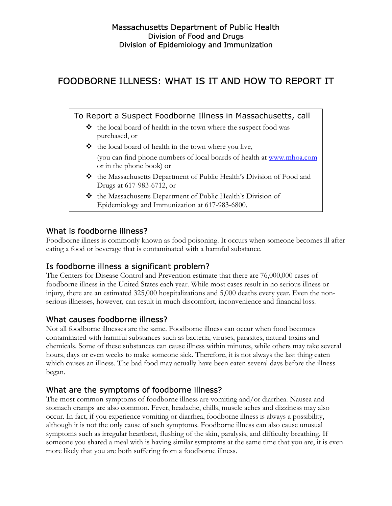# FOODBORNE ILLNESS: WHAT IS IT AND HOW TO REPORT IT

To Report a Suspect Foodborne Illness in Massachusetts, call

- $\triangle$  the local board of health in the town where the suspect food was purchased, or
- $\triangleleft$  the local board of health in the town where you live, (you can find phone numbers of local boards of health at [www.mhoa.com](http://www.mhoa.com/) or in the phone book) or
- the Massachusetts Department of Public Health's Division of Food and Drugs at 617-983-6712, or
- the Massachusetts Department of Public Health's Division of Epidemiology and Immunization at 617-983-6800.

### What is foodborne illness?

Foodborne illness is commonly known as food poisoning. It occurs when someone becomes ill after eating a food or beverage that is contaminated with a harmful substance.

### Is foodborne illness a significant problem?

The Centers for Disease Control and Prevention estimate that there are 76,000,000 cases of foodborne illness in the United States each year. While most cases result in no serious illness or injury, there are an estimated 325,000 hospitalizations and 5,000 deaths every year. Even the nonserious illnesses, however, can result in much discomfort, inconvenience and financial loss.

### What causes foodborne illness?

Not all foodborne illnesses are the same. Foodborne illness can occur when food becomes contaminated with harmful substances such as bacteria, viruses, parasites, natural toxins and chemicals. Some of these substances can cause illness within minutes, while others may take several hours, days or even weeks to make someone sick. Therefore, it is not always the last thing eaten which causes an illness. The bad food may actually have been eaten several days before the illness began.

### What are the symptoms of foodborne illness?

The most common symptoms of foodborne illness are vomiting and/or diarrhea. Nausea and stomach cramps are also common. Fever, headache, chills, muscle aches and dizziness may also occur. In fact, if you experience vomiting or diarrhea, foodborne illness is always a possibility, although it is not the only cause of such symptoms. Foodborne illness can also cause unusual symptoms such as irregular heartbeat, flushing of the skin, paralysis, and difficulty breathing. If someone you shared a meal with is having similar symptoms at the same time that you are, it is even more likely that you are both suffering from a foodborne illness.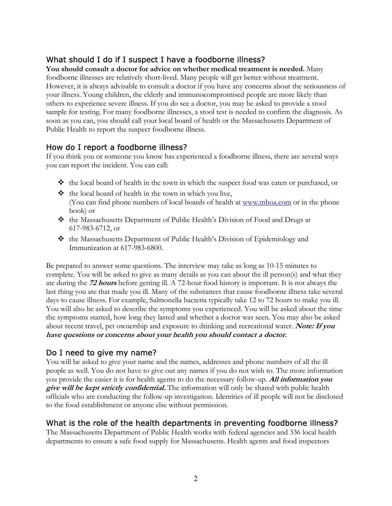### What should I do if I suspect I have a foodborne illness?

**You should consult a doctor for advice on whether medical treatment is needed.** Many foodborne illnesses are relatively short-lived. Many people will get better without treatment. However, it is always advisable to consult a doctor if you have any concerns about the seriousness of your illness. Young children, the elderly and immunocompromised people are more likely than others to experience severe illness. If you do see a doctor, you may be asked to provide a stool sample for testing. For many foodborne illnesses, a stool test is needed to confirm the diagnosis. As soon as you can, you should call your local board of health or the Massachusetts Department of Public Health to report the suspect foodborne illness.

## How do I report a foodborne illness?

If you think you or someone you know has experienced a foodborne illness, there are several ways you can report the incident. You can call:

- $\triangleleft$  the local board of health in the town in which the suspect food was eaten or purchased, or
- $\triangleleft$  the local board of health in the town in which you live, (You can find phone numbers of local boards of health at [www.mhoa.com](http://www.mhoa.com/) or in the phone book) or
- the Massachusetts Department of Public Health's Division of Food and Drugs at 617-983-6712, or
- \* the Massachusetts Department of Public Health's Division of Epidemiology and Immunization at 617-983-6800.

Be prepared to answer some questions. The interview may take as long as 10-15 minutes to complete. You will be asked to give as many details as you can about the ill person(s) and what they ate during the **72 hours** before getting ill. A 72-hour food history is important. It is not always the last thing you ate that made you ill. Many of the substances that cause foodborne illness take several days to cause illness. For example, Salmonella bacteria typically take 12 to 72 hours to make you ill. You will also be asked to describe the symptoms you experienced. You will be asked about the time the symptoms started, how long they lasted and whether a doctor was seen. You may also be asked about recent travel, pet ownership and exposure to drinking and recreational water. Note: If you **have questions or concerns about your health you should contact a doctor.** 

### Do I need to give my name?

You will be asked to give your name and the names, addresses and phone numbers of all the ill people as well. You do not have to give out any names if you do not wish to. The more information you provide the easier it is for health agents to do the necessary follow-up. **All information you give will be kept strictly confidential.** The information will only be shared with public health officials who are conducting the follow-up investigation. Identities of ill people will not be disclosed to the food establishment or anyone else without permission.

#### What is the role of the health departments in preventing foodborne illness?

The Massachusetts Department of Public Health works with federal agencies and 336 local health departments to ensure a safe food supply for Massachusetts. Health agents and food inspectors